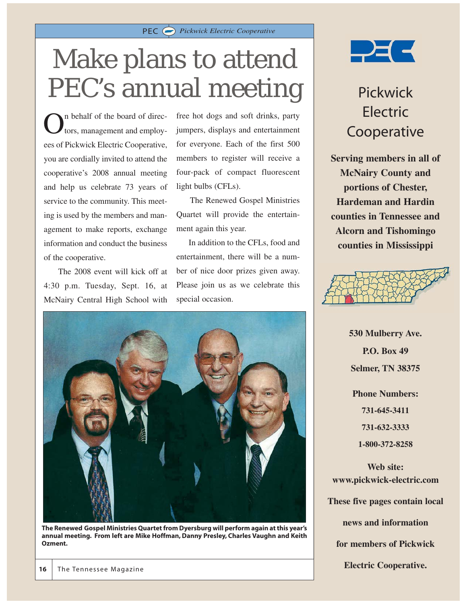

### Make plans to attend PEC's annual meeting

 $\sum$ <sup>n</sup> behalf of the board of direc-<br>tors, management and employees of Pickwick Electric Cooperative, you are cordially invited to attend the cooperative's 2008 annual meeting and help us celebrate 73 years of service to the community. This meeting is used by the members and management to make reports, exchange information and conduct the business of the cooperative.

The 2008 event will kick off at 4:30 p.m. Tuesday, Sept. 16, at McNairy Central High School with free hot dogs and soft drinks, party jumpers, displays and entertainment for everyone. Each of the first 500 members to register will receive a four-pack of compact fluorescent light bulbs (CFLs).

The Renewed Gospel Ministries Quartet will provide the entertainment again this year.

In addition to the CFLs, food and entertainment, there will be a number of nice door prizes given away. Please join us as we celebrate this special occasion.



**The Renewed Gospel Ministries Quartet from Dyersburg will perform again at this year's annual meeting. From left are Mike Hoffman, Danny Presley, Charles Vaughn and Keith Ozment.**



#### Pickwick Electric Cooperative

**Serving members in all of McNairy County and portions of Chester, Hardeman and Hardin counties in Tennessee and Alcorn and Tishomingo counties in Mississippi**



**530 Mulberry Ave. P.O. Box 49 Selmer, TN 38375 Phone Numbers:**

> **731-645-3411 731-632-3333**

**1-800-372-8258**

**Web site: www.pickwick-electric.com**

**These five pages contain local news and information**

**for members of Pickwick**

**Electric Cooperative.**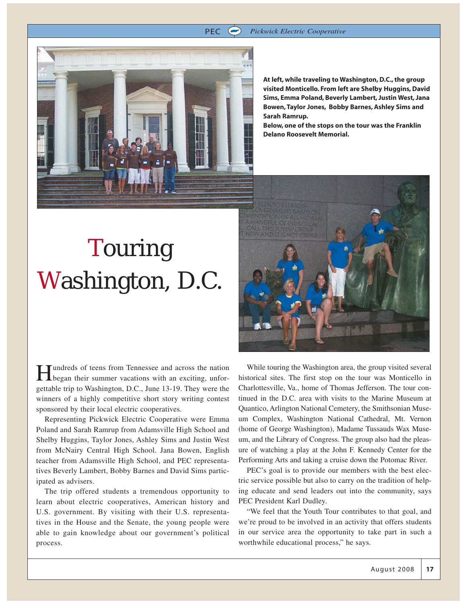**At left, while traveling to Washington, D.C., the group visited Monticello. From left are Shelby Huggins, David Sims, Emma Poland, Beverly Lambert, Justin West, Jana Bowen, Taylor Jones, Bobby Barnes, Ashley Sims and Sarah Ramrup.**

**Below, one of the stops on the tour was the Franklin Delano Roosevelt Memorial.**

### Touring Washington, D.C.

**T**undreds of teens from Tennessee and across the nation began their summer vacations with an exciting, unforgettable trip to Washington, D.C., June 13-19. They were the winners of a highly competitive short story writing contest sponsored by their local electric cooperatives.

Representing Pickwick Electric Cooperative were Emma Poland and Sarah Ramrup from Adamsville High School and Shelby Huggins, Taylor Jones, Ashley Sims and Justin West from McNairy Central High School. Jana Bowen, English teacher from Adamsville High School, and PEC representatives Beverly Lambert, Bobby Barnes and David Sims participated as advisers.

The trip offered students a tremendous opportunity to learn about electric cooperatives, American history and U.S. government. By visiting with their U.S. representatives in the House and the Senate, the young people were able to gain knowledge about our government's political process.

While touring the Washington area, the group visited several historical sites. The first stop on the tour was Monticello in Charlottesville, Va., home of Thomas Jefferson. The tour continued in the D.C. area with visits to the Marine Museum at Quantico, Arlington National Cemetery, the Smithsonian Museum Complex, Washington National Cathedral, Mt. Vernon (home of George Washington), Madame Tussauds Wax Museum, and the Library of Congress. The group also had the pleasure of watching a play at the John F. Kennedy Center for the Performing Arts and taking a cruise down the Potomac River.

PEC's goal is to provide our members with the best electric service possible but also to carry on the tradition of helping educate and send leaders out into the community, says PEC President Karl Dudley.

"We feel that the Youth Tour contributes to that goal, and we're proud to be involved in an activity that offers students in our service area the opportunity to take part in such a worthwhile educational process," he says.



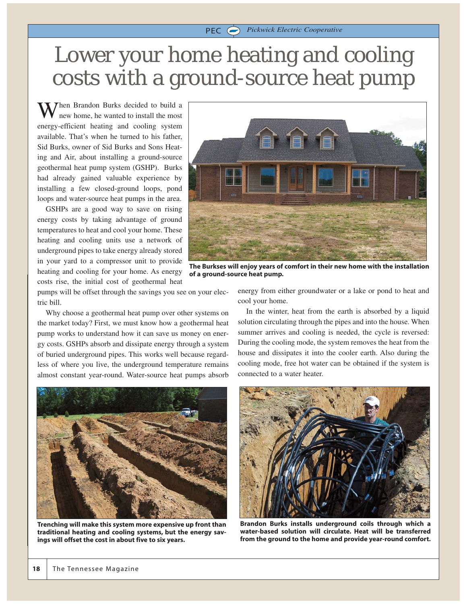#### Lower your home heating and cooling costs with a ground-source heat pump

PEC *Pickwick Electric Cooperative*

Then Brandon Burks decided to build a new home, he wanted to install the most energy-efficient heating and cooling system available. That's when he turned to his father, Sid Burks, owner of Sid Burks and Sons Heating and Air, about installing a ground-source geothermal heat pump system (GSHP). Burks had already gained valuable experience by installing a few closed-ground loops, pond loops and water-source heat pumps in the area.

GSHPs are a good way to save on rising energy costs by taking advantage of ground temperatures to heat and cool your home. These heating and cooling units use a network of underground pipes to take energy already stored in your yard to a compressor unit to provide heating and cooling for your home. As energy costs rise, the initial cost of geothermal heat



**The Burkses will enjoy years of comfort in their new home with the installation of a ground-source heat pump.**

pumps will be offset through the savings you see on your electric bill.

Why choose a geothermal heat pump over other systems on the market today? First, we must know how a geothermal heat pump works to understand how it can save us money on energy costs. GSHPs absorb and dissipate energy through a system of buried underground pipes. This works well because regardless of where you live, the underground temperature remains almost constant year-round. Water-source heat pumps absorb



**Trenching will make this system more expensive up front than traditional heating and cooling systems, but the energy savings will offset the cost in about five to six years.**

energy from either groundwater or a lake or pond to heat and cool your home.

In the winter, heat from the earth is absorbed by a liquid solution circulating through the pipes and into the house. When summer arrives and cooling is needed, the cycle is reversed: During the cooling mode, the system removes the heat from the house and dissipates it into the cooler earth. Also during the cooling mode, free hot water can be obtained if the system is connected to a water heater.



**Brandon Burks installs underground coils through which a water-based solution will circulate. Heat will be transferred from the ground to the home and provide year-round comfort.**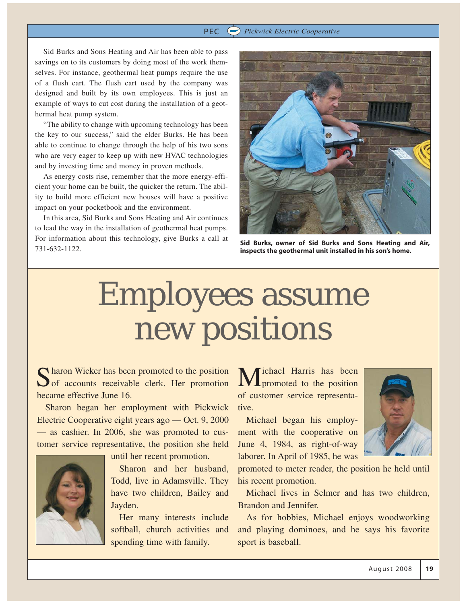#### PEC *Pickwick Electric Cooperative*

Sid Burks and Sons Heating and Air has been able to pass savings on to its customers by doing most of the work themselves. For instance, geothermal heat pumps require the use of a flush cart. The flush cart used by the company was designed and built by its own employees. This is just an example of ways to cut cost during the installation of a geothermal heat pump system.

"The ability to change with upcoming technology has been the key to our success," said the elder Burks. He has been able to continue to change through the help of his two sons who are very eager to keep up with new HVAC technologies and by investing time and money in proven methods.

As energy costs rise, remember that the more energy-efficient your home can be built, the quicker the return. The ability to build more efficient new houses will have a positive impact on your pocketbook and the environment.

In this area, Sid Burks and Sons Heating and Air continues to lead the way in the installation of geothermal heat pumps. For information about this technology, give Burks a call at **Sid Burks, owner of Sid Burks and Sons Heating and Air,**<br>731-632-1122. **Sid Burks, owner of Sid Burks and Sons Heating and Air,** 



**inspects the geothermal unit installed in his son's home.**

## Employees assume new positions

Sharon Wicker has been promoted to the position<br>of accounts receivable clerk. Her promotion became effective June 16.

Sharon began her employment with Pickwick Electric Cooperative eight years ago — Oct. 9, 2000 — as cashier. In 2006, she was promoted to customer service representative, the position she held



until her recent promotion.

Sharon and her husband, Todd, live in Adamsville. They have two children, Bailey and Jayden.

Her many interests include softball, church activities and spending time with family.

Michael Harris has been<br>promoted to the position of customer service representative.

Michael began his employment with the cooperative on June 4, 1984, as right-of-way laborer. In April of 1985, he was



promoted to meter reader, the position he held until his recent promotion.

Michael lives in Selmer and has two children, Brandon and Jennifer.

As for hobbies, Michael enjoys woodworking and playing dominoes, and he says his favorite sport is baseball.